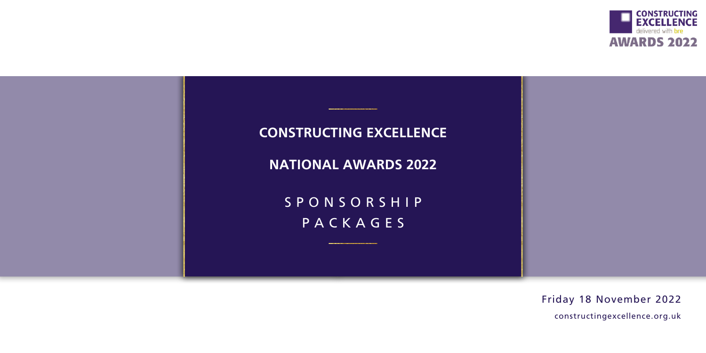## **CONSTRUCTING EXCELLENCE**

**NATIONAL AWARDS 2022**

SPONSORSHIP PACKAGES



[constructingexcellence.org.uk](https://constructingexcellence.org.uk/awards-finalists-2020/)

# [Friday 18 November 2022](https://constructingexcellence.org.uk/awards-finalists-2020/)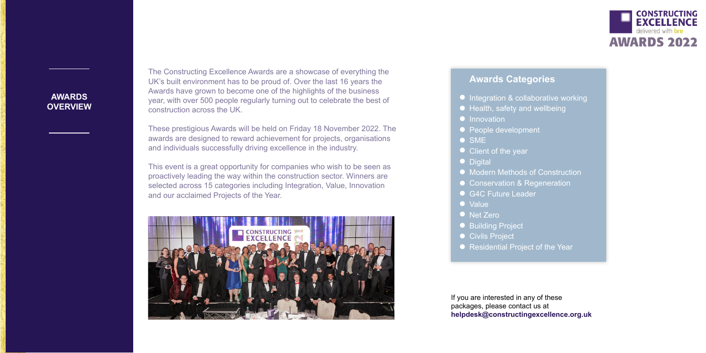## **AWARDS OVERVIEW**

The Constructing Excellence Awards are a showcase of everything the UK's built environment has to be proud of. Over the last 16 years the Awards have grown to become one of the highlights of the business year, with over 500 people regularly turning out to celebrate the best of construction across the UK.

These prestigious Awards will be held on Friday 18 November 2022. The awards are designed to reward achievement for projects, organisations and individuals successfully driving excellence in the industry.

This event is a great opportunity for companies who wish to be seen as proactively leading the way within the construction sector. Winners are selected across 15 categories including Integration, Value, Innovation and our acclaimed Projects of the Year.



### **Awards Categories**

- **Integration & collaborative working**
- **Health, safety and wellbeing**
- **•** Innovation
- People development
- SME
- Client of the year
- Digital
- Modern Methods of Construction
- Conservation & Regeneration
- G4C Future Leader
- Value
- Net Zero
- Building Project
- Civils Project
- Residential Project of the Year

If you are interested in any of these packages, please contact us at **helpdesk@constructingexcellence.org.uk**

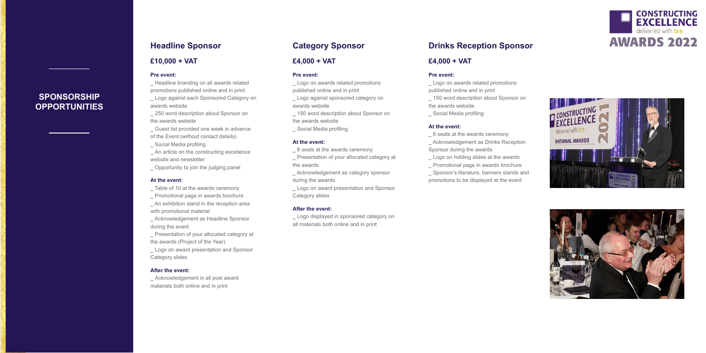## **SPONSORSHIP OPPORTUNITIES**

#### **Category Sponsor**

#### **£4,000 + VAT**

#### **Pre event:**

**\_** Logo on awards related promotions published online and in print

**\_** Logo against sponsored category on awards website

**\_** 150 word description about Sponsor on the awards website

**\_** Social Media profiling

#### **At the event:**

**\_** 6 seats at the awards ceremony

**\_** Presentation of your allocated category at the awards

**\_** Acknowledgement as category sponsor during the awards

**\_** Logo on award presentation and Sponsor Category slides

#### **After the event:**

**\_** Logo displayed in sponsored category on all materials both online and in print

#### **Headline Sponsor**

#### **£10,000 + VAT**

#### **Pre event:**

**\_** Headline branding on all awards related promotions published online and in print

**\_** Logo against each Sponsored Category on awards website

**\_** 250 word description about Sponsor on the awards website

**\_** Guest list provided one week in advance of the Event (without contact details)

**\_** Social Media profiling

**\_** An article on the constructing excellence website and newsletter

**\_** Opportunity to join the judging panel

#### **At the event:**

- **\_** Table of 10 at the awards ceremony
- **\_** Promotional page in awards brochure

**\_** An exhibition stand in the reception area with promotional material

**\_** Acknowledgement as Headline Sponsor during the event

**\_** Presentation of your allocated category at the awards (Project of the Year)

**\_** Logo on award presentation and Sponsor Category slides

#### **After the event:**

**\_** Acknowledgement in all post award materials both online and in print

#### **Drinks Reception Sponsor**

#### **£4,000 + VAT**

#### **Pre event:**

**\_** Logo on awards related promotions published online and in print

**\_** 150 word description about Sponsor on the awards website

**\_** Social Media profiling

#### **At the event:**

**\_** 6 seats at the awards ceremony **\_** Acknowledgement as Drinks Reception

Sponsor during the awards







**\_** Logo on holding slides at the awards

**\_** Promotional page in awards brochure

**\_** Sponsor's literature, banners stands and promotions to be displayed at the event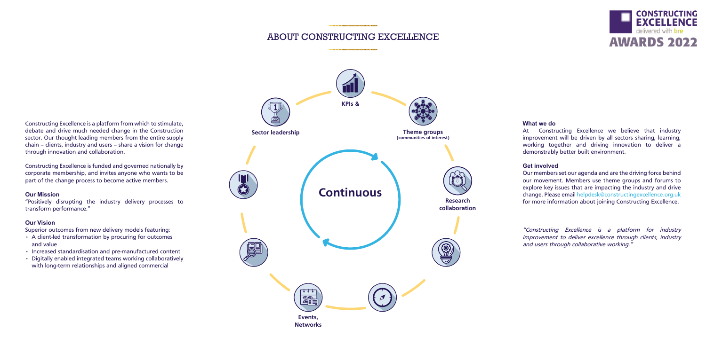Constructing Excellence is a platform from which to stimulate, debate and drive much needed change in the Construction sector. Our thought leading members from the entire supply chain – clients, industry and users – share a vision for change through innovation and collaboration.

Constructing Excellence is funded and governed nationally by corporate membership, and invites anyone who wants to be part of the change process to become active members.

#### **Our Mission**

"Positively disrupting the industry delivery processes to transform performance."

#### **Our Vision**

Superior outcomes from new delivery models featuring:

- A client-led transformation by procuring for outcomes and value
- Increased standardisation and pre-manufactured content
- Digitally enabled integrated teams working collaboratively with long-term relationships and aligned commercial

# **What we do**

At Constructing Excellence we believe that industry improvement will be driven by all sectors sharing, learning, working together and driving innovation to deliver a demonstrably better built environment.

**Get involved** Our members set our agenda and are the driving force behind our movement. Members use theme groups and forums to explore key issues that are impacting the industry and drive change. Please email helpdesk@constructingexcellence.org.uk for more information about joining Constructing Excellence.

"Constructing Excellence is a platform for industry improvement to deliver excellence through clients, industry and users through collaborative working."





#### ABOUT CONSTRUCTING EXCELLENCE